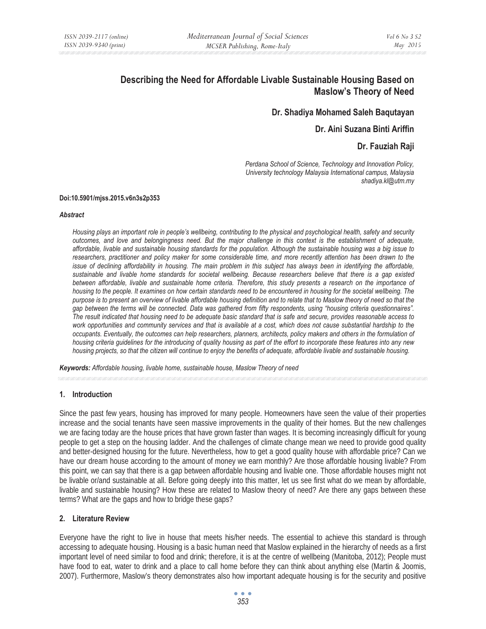# **Describing the Need for Affordable Livable Sustainable Housing Based on Maslow's Theory of Need**

# **Dr. Shadiya Mohamed Saleh Baqutayan**

# **Dr. Aini Suzana Binti Ariffin**

# **Dr. Fauziah Raji**

*Perdana School of Science, Technology and Innovation Policy, University technology Malaysia International campus, Malaysia shadiya.kl@utm.my* 

#### **Doi:10.5901/mjss.2015.v6n3s2p353**

#### *Abstract*

*Housing plays an important role in people's wellbeing, contributing to the physical and psychological health, safety and security outcomes, and love and belongingness need. But the major challenge in this context is the establishment of adequate, affordable, livable and sustainable housing standards for the population. Although the sustainable housing was a big issue to researchers, practitioner and policy maker for some considerable time, and more recently attention has been drawn to the issue of declining affordability in housing. The main problem in this subject has always been in identifying the affordable, sustainable and livable home standards for societal wellbeing. Because researchers believe that there is a gap existed between affordable, livable and sustainable home criteria. Therefore, this study presents a research on the importance of housing to the people. It examines on how certain standards need to be encountered in housing for the societal wellbeing. The purpose is to present an overview of livable affordable housing definition and to relate that to Maslow theory of need so that the gap between the terms will be connected. Data was gathered from fifty respondents, using "housing criteria questionnaires". The result indicated that housing need to be adequate basic standard that is safe and secure, provides reasonable access to*  work opportunities and community services and that is available at a cost, which does not cause substantial hardship to the *occupants. Eventually, the outcomes can help researchers, planners, architects, policy makers and others in the formulation of housing criteria guidelines for the introducing of quality housing as part of the effort to incorporate these features into any new housing projects, so that the citizen will continue to enjoy the benefits of adequate, affordable livable and sustainable housing.* 

*Keywords: Affordable housing, livable home, sustainable house, Maslow Theory of need*

## **1. Introduction**

Since the past few years, housing has improved for many people. Homeowners have seen the value of their properties increase and the social tenants have seen massive improvements in the quality of their homes. But the new challenges we are facing today are the house prices that have grown faster than wages. It is becoming increasingly difficult for young people to get a step on the housing ladder. And the challenges of climate change mean we need to provide good quality and better-designed housing for the future. Nevertheless, how to get a good quality house with affordable price? Can we have our dream house according to the amount of money we earn monthly? Are those affordable housing livable? From this point, we can say that there is a gap between affordable housing and livable one. Those affordable houses might not be livable or/and sustainable at all. Before going deeply into this matter, let us see first what do we mean by affordable, livable and sustainable housing? How these are related to Maslow theory of need? Are there any gaps between these terms? What are the gaps and how to bridge these gaps?

## **2. Literature Review**

Everyone have the right to live in house that meets his/her needs. The essential to achieve this standard is through accessing to adequate housing. Housing is a basic human need that Maslow explained in the hierarchy of needs as a first important level of need similar to food and drink; therefore, it is at the centre of wellbeing (Manitoba, 2012); People must have food to eat, water to drink and a place to call home before they can think about anything else (Martin & Joomis, 2007). Furthermore, Maslow's theory demonstrates also how important adequate housing is for the security and positive

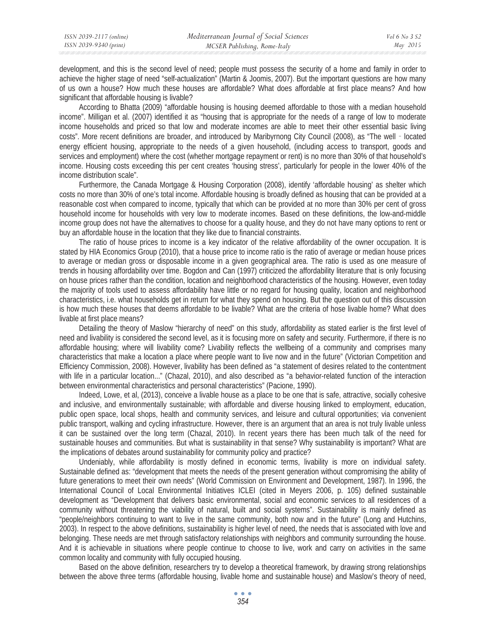development, and this is the second level of need; people must possess the security of a home and family in order to achieve the higher stage of need "self-actualization" (Martin & Joomis, 2007). But the important questions are how many of us own a house? How much these houses are affordable? What does affordable at first place means? And how significant that affordable housing is livable?

According to Bhatta (2009) "affordable housing is housing deemed affordable to those with a median household income". Milligan et al. (2007) identified it as "housing that is appropriate for the needs of a range of low to moderate income households and priced so that low and moderate incomes are able to meet their other essential basic living costs". More recent definitions are broader, and introduced by Maribyrnong City Council (2008), as "The well - located energy efficient housing, appropriate to the needs of a given household, (including access to transport, goods and services and employment) where the cost (whether mortgage repayment or rent) is no more than 30% of that household's income. Housing costs exceeding this per cent creates 'housing stress', particularly for people in the lower 40% of the income distribution scale".

Furthermore, the Canada Mortgage & Housing Corporation (2008), identify 'affordable housing' as shelter which costs no more than 30% of one's total income. Affordable housing is broadly defined as housing that can be provided at a reasonable cost when compared to income, typically that which can be provided at no more than 30% per cent of gross household income for households with very low to moderate incomes. Based on these definitions, the low-and-middle income group does not have the alternatives to choose for a quality house, and they do not have many options to rent or buy an affordable house in the location that they like due to financial constraints.

The ratio of house prices to income is a key indicator of the relative affordability of the owner occupation. It is stated by HIA Economics Group (2010), that a house price to income ratio is the ratio of average or median house prices to average or median gross or disposable income in a given geographical area. The ratio is used as one measure of trends in housing affordability over time. Bogdon and Can (1997) criticized the affordability literature that is only focusing on house prices rather than the condition, location and neighborhood characteristics of the housing. However, even today the majority of tools used to assess affordability have little or no regard for housing quality, location and neighborhood characteristics, i.e. what households get in return for what they spend on housing. But the question out of this discussion is how much these houses that deems affordable to be livable? What are the criteria of hose livable home? What does livable at first place means?

Detailing the theory of Maslow "hierarchy of need" on this study, affordability as stated earlier is the first level of need and livability is considered the second level, as it is focusing more on safety and security. Furthermore, if there is no affordable housing; where will livability come? Livability reflects the wellbeing of a community and comprises many characteristics that make a location a place where people want to live now and in the future" (Victorian Competition and Efficiency Commission, 2008). However, livability has been defined as "a statement of desires related to the contentment with life in a particular location..." (Chazal, 2010), and also described as "a behavior-related function of the interaction between environmental characteristics and personal characteristics" (Pacione, 1990).

Indeed, Lowe, et al, (2013), conceive a livable house as a place to be one that is safe, attractive, socially cohesive and inclusive, and environmentally sustainable; with affordable and diverse housing linked to employment, education, public open space, local shops, health and community services, and leisure and cultural opportunities; via convenient public transport, walking and cycling infrastructure. However, there is an argument that an area is not truly livable unless it can be sustained over the long term (Chazal, 2010). In recent years there has been much talk of the need for sustainable houses and communities. But what is sustainability in that sense? Why sustainability is important? What are the implications of debates around sustainability for community policy and practice?

Undeniably, while affordability is mostly defined in economic terms, livability is more on individual safety. Sustainable defined as: "development that meets the needs of the present generation without compromising the ability of future generations to meet their own needs" (World Commission on Environment and Development, 1987). In 1996, the International Council of Local Environmental Initiatives ICLEI (cited in Meyers 2006, p. 105) defined sustainable development as "Development that delivers basic environmental, social and economic services to all residences of a community without threatening the viability of natural, built and social systems". Sustainability is mainly defined as "people/neighbors continuing to want to live in the same community, both now and in the future" (Long and Hutchins, 2003). In respect to the above definitions, sustainability is higher level of need, the needs that is associated with love and belonging. These needs are met through satisfactory relationships with neighbors and community surrounding the house. And it is achievable in situations where people continue to choose to live, work and carry on activities in the same common locality and community with fully occupied housing.

Based on the above definition, researchers try to develop a theoretical framework, by drawing strong relationships between the above three terms (affordable housing, livable home and sustainable house) and Maslow's theory of need,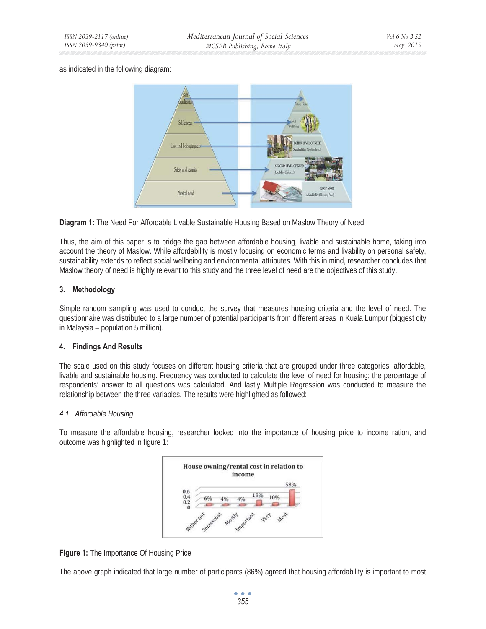## as indicated in the following diagram:



**Diagram 1:** The Need For Affordable Livable Sustainable Housing Based on Maslow Theory of Need

Thus, the aim of this paper is to bridge the gap between affordable housing, livable and sustainable home, taking into account the theory of Maslow. While affordability is mostly focusing on economic terms and livability on personal safety, sustainability extends to reflect social wellbeing and environmental attributes. With this in mind, researcher concludes that Maslow theory of need is highly relevant to this study and the three level of need are the objectives of this study.

# **3. Methodology**

Simple random sampling was used to conduct the survey that measures housing criteria and the level of need. The questionnaire was distributed to a large number of potential participants from different areas in Kuala Lumpur (biggest city in Malaysia – population 5 million).

## **4. Findings And Results**

The scale used on this study focuses on different housing criteria that are grouped under three categories: affordable, livable and sustainable housing. Frequency was conducted to calculate the level of need for housing; the percentage of respondents' answer to all questions was calculated. And lastly Multiple Regression was conducted to measure the relationship between the three variables. The results were highlighted as followed:

## *4.1 Affordable Housing*

To measure the affordable housing, researcher looked into the importance of housing price to income ration, and outcome was highlighted in figure 1:



**Figure 1:** The Importance Of Housing Price

The above graph indicated that large number of participants (86%) agreed that housing affordability is important to most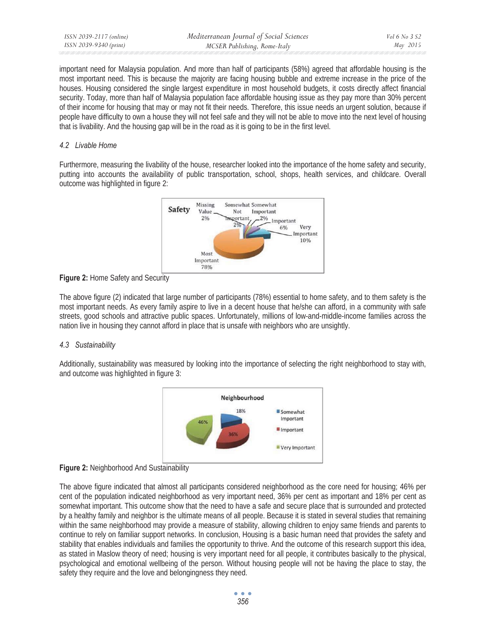important need for Malaysia population. And more than half of participants (58%) agreed that affordable housing is the most important need. This is because the majority are facing housing bubble and extreme increase in the price of the houses. Housing considered the single largest expenditure in most household budgets, it costs directly affect financial security. Today, more than half of Malaysia population face affordable housing issue as they pay more than 30% percent of their income for housing that may or may not fit their needs. Therefore, this issue needs an urgent solution, because if people have difficulty to own a house they will not feel safe and they will not be able to move into the next level of housing that is livability. And the housing gap will be in the road as it is going to be in the first level.

# *4.2 Livable Home*

Furthermore, measuring the livability of the house, researcher looked into the importance of the home safety and security, putting into accounts the availability of public transportation, school, shops, health services, and childcare. Overall outcome was highlighted in figure 2:



**Figure 2: Home Safety and Security** 

The above figure (2) indicated that large number of participants (78%) essential to home safety, and to them safety is the most important needs. As every family aspire to live in a decent house that he/she can afford, in a community with safe streets, good schools and attractive public spaces. Unfortunately, millions of low-and-middle-income families across the nation live in housing they cannot afford in place that is unsafe with neighbors who are unsightly.

# *4.3 Sustainability*

Additionally, sustainability was measured by looking into the importance of selecting the right neighborhood to stay with, and outcome was highlighted in figure 3:





The above figure indicated that almost all participants considered neighborhood as the core need for housing; 46% per cent of the population indicated neighborhood as very important need, 36% per cent as important and 18% per cent as somewhat important. This outcome show that the need to have a safe and secure place that is surrounded and protected by a healthy family and neighbor is the ultimate means of all people. Because it is stated in several studies that remaining within the same neighborhood may provide a measure of stability, allowing children to enjoy same friends and parents to continue to rely on familiar support networks. In conclusion, Housing is a basic human need that provides the safety and stability that enables individuals and families the opportunity to thrive. And the outcome of this research support this idea, as stated in Maslow theory of need; housing is very important need for all people, it contributes basically to the physical, psychological and emotional wellbeing of the person. Without housing people will not be having the place to stay, the safety they require and the love and belongingness they need.